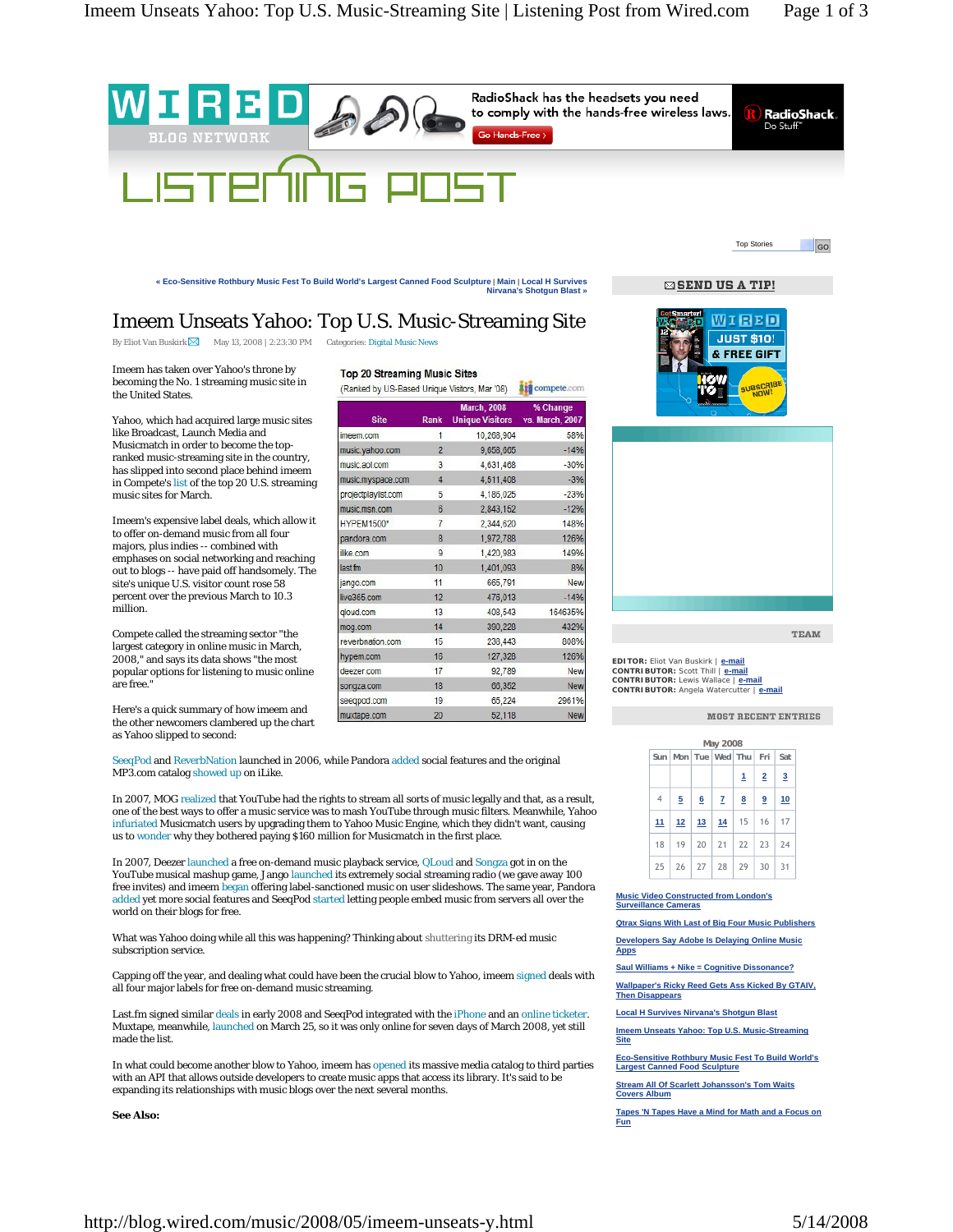

**« Eco-Sensitive Rothbury Music Fest To Build World's Largest Canned Food Sculpture** | **Main** | **Local H Survives Nirvana's Shotgun Blast »**

⊠ SEND US A TIP!

## Imeem Unseats Yahoo: Top U.S. Music-Streaming Site

By Eliot Van Buskirk  $\boxtimes$  May 13, 2008 | 2:23:30 PM Categories: Digital Music News

Imeem has taken over Yahoo's throne by becoming the No. 1 streaming music site in the United States.

Yahoo, which had acquired large music sites like Broadcast, Launch Media and Musicmatch in order to become the topranked music-streaming site in the country, has slipped into second place behind imeem in Compete's list of the top 20 U.S. streaming music sites for March.

Imeem's expensive label deals, which allow it to offer on-demand music from all four majors, plus indies -- combined with emphases on social networking and reaching out to blogs -- have paid off handsomely. The site's unique U.S. visitor count rose 58 percent over the previous March to 10.3 million.

Compete called the streaming sector "the largest category in online music in March, 2008," and says its data shows "the most popular options for listening to music online are free."

Here's a quick summary of how imeem and the other newcomers clambered up the chart as Yahoo slipped to second:

SeeqPod and ReverbNation launched in 2006, while Pandora added social features and the original MP3.com catalog showed up on iLike.

In 2007, MOG realized that YouTube had the rights to stream all sorts of music legally and that, as a result, one of the best ways to offer a music service was to mash YouTube through music filters. Meanwhile, Yahoo infuriated Musicmatch users by upgrading them to Yahoo Music Engine, which they didn't want, causing us to wonder why they bothered paying \$160 million for Musicmatch in the first place.

In 2007, Deezer launched a free on-demand music playback service, QLoud and Songza got in on the YouTube musical mashup game, Jango launched its extremely social streaming radio (we gave away 100 free invites) and imeem began offering label-sanctioned music on user slideshows. The same year, Pandora added yet more social features and SeeqPod started letting people embed music from servers all over the world on their blogs for free.

What was Yahoo doing while all this was happening? Thinking about shuttering its DRM-ed music subscription service.

Capping off the year, and dealing what could have been the crucial blow to Yahoo, imeem signed deals with all four major labels for free on-demand music streaming.

Last.fm signed similar deals in early 2008 and SeeqPod integrated with the iPhone and an online ticketer. Muxtape, meanwhile, launched on March 25, so it was only online for seven days of March 2008, yet still made the list.

In what could become another blow to Yahoo, imeem has opened its massive media catalog to third parties with an API that allows outside developers to create music apps that access its library. It's said to be expanding its relationships with music blogs over the next several months.

**See Also:**

| Top 20 Streaming Music Sites |  |
|------------------------------|--|
|------------------------------|--|

(Ranked by US-Based Unique Visitors, Mar '08) #10 compete.com

| <b>Site</b>         | <b>Rank</b>    | <b>March, 2008</b><br>Unique Visitors vs. March, 2007 | % Change |  |
|---------------------|----------------|-------------------------------------------------------|----------|--|
| imeem.com           | 1              | 10,268,904                                            | 58%      |  |
| music.yahoo.com     | $\overline{2}$ | 9,658,665                                             | $-14%$   |  |
| music.aol.com       | 3              | 4,631,468                                             | $-30%$   |  |
| music.myspace.com   | 4              | 4,511,408                                             | $-3%$    |  |
| projectplaylist.com | 5              | 4,186,025                                             | $-23%$   |  |
| music.msn.com       | 6              | 2,843,152                                             | $-12%$   |  |
| <b>HYPEM1500*</b>   | 7              | 2,344,620                                             | 148%     |  |
| pandora.com         | 8              | 1,972,788                                             | 126%     |  |
| ilke.com            | 9              | 1,420,983                                             | 149%     |  |
| last fm             | 10             | 1,401,093                                             | 8%       |  |
| jango.com           | 11             | 665,791                                               | New      |  |
| live365.com         | 12             | 476,013                                               | $-14%$   |  |
| gloud.com           | 13             | 408,543                                               | 164635%  |  |
| mog.com             | 14             | 390,228                                               | 432%     |  |
| reverbnation.com    | 15             | 238,443                                               | 808%     |  |
| hypem.com           | 16             | 127,328                                               | 126%     |  |
| deezer.com          | 17             | 92,789                                                | New      |  |
| songza.com          | 18             | 66,352                                                | New      |  |
| seeqpod.com         | 19             | 65,224                                                | 2961%    |  |
| muxtape.com         | 20             | 52,118                                                | New      |  |



**EDITOR:** Eliot Van Buskirk | **e-mail CONTRIBUTOR:** Scott Thill | **e-mail CONTRIBUTOR:** Lewis Wallace | **e-mail CONTRIBUTOR:** Angela Watercutter | **e-mail**

**MOST RECENT ENTRIES** 

**TEAM** 

| May 2008        |       |  |                                              |   |                |                |  |  |
|-----------------|-------|--|----------------------------------------------|---|----------------|----------------|--|--|
|                 |       |  | Sun   Mon   Tue   Wed   Thu   Fri            |   |                | Sat            |  |  |
|                 |       |  |                                              | 1 | $\overline{2}$ | $\overline{3}$ |  |  |
| $\overline{4}$  | $5 -$ |  | 6 7 8                                        |   | 9              | 10             |  |  |
| 11 <sub>1</sub> |       |  | $12$   13   14   15   16                     |   |                | 17             |  |  |
| 18              |       |  | $19 \mid 20 \mid 21 \mid 22 \mid 23 \mid 24$ |   |                |                |  |  |
|                 |       |  | $25 \mid 26 \mid 27 \mid 28 \mid 29 \mid 30$ |   |                | 31             |  |  |

**Music Video Constructed from London's Surveillance Cameras**

**Qtrax Signs With Last of Big Four Music Publishers Developers Say Adobe Is Delaying Online Music Apps**

**Saul Williams + Nike = Cognitive Dissonance?**

**Wallpaper's Ricky Reed Gets Ass Kicked By GTAIV, Then Disappears**

**Local H Survives Nirvana's Shotgun Blast**

**Imeem Unseats Yahoo: Top U.S. Music-Streaming Site**

**Eco-Sensitive Rothbury Music Fest To Build World's Largest Canned Food Sculpture**

**Stream All Of Scarlett Johansson's Tom Waits Covers Album**

**Tapes 'N Tapes Have a Mind for Math and a Focus on Fun**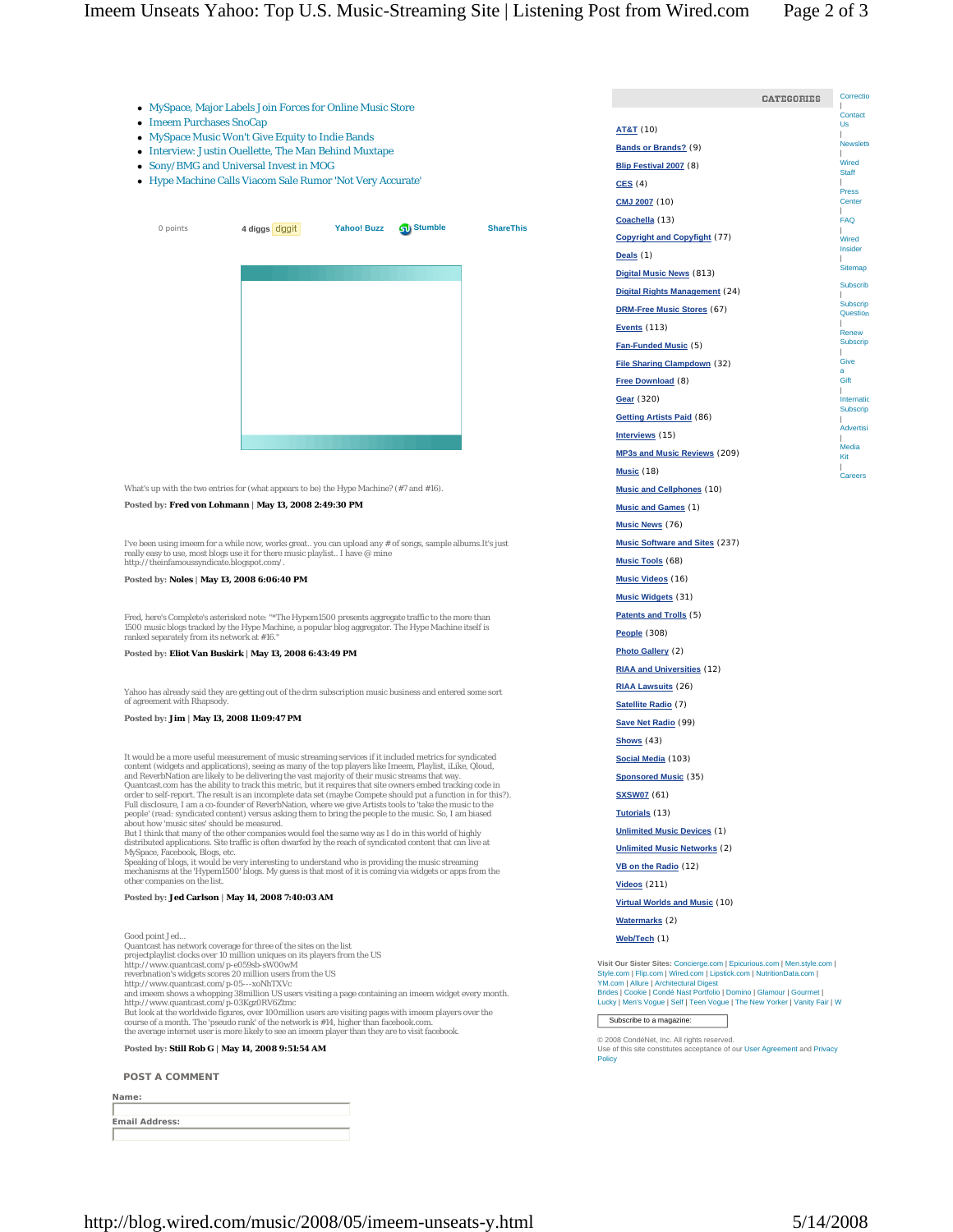